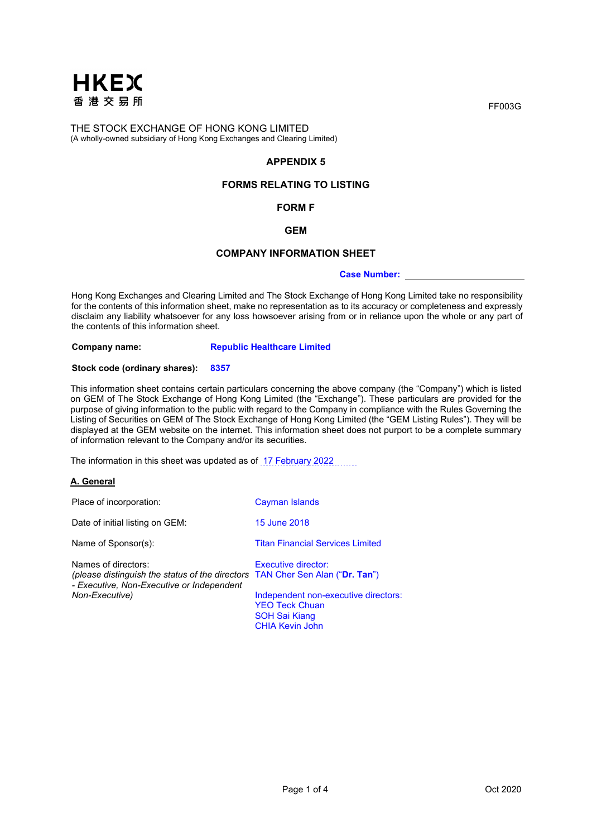

# **APPENDIX 5**

# **FORMS RELATING TO LISTING**

# **FORM F**

## **GEM**

### **COMPANY INFORMATION SHEET**

### **Case Number:**

Hong Kong Exchanges and Clearing Limited and The Stock Exchange of Hong Kong Limited take no responsibility for the contents of this information sheet, make no representation as to its accuracy or completeness and expressly disclaim any liability whatsoever for any loss howsoever arising from or in reliance upon the whole or any part of the contents of this information sheet.

**Company name: Republic Healthcare Limited**

### **Stock code (ordinary shares): 8357**

This information sheet contains certain particulars concerning the above company (the "Company") which is listed on GEM of The Stock Exchange of Hong Kong Limited (the "Exchange"). These particulars are provided for the purpose of giving information to the public with regard to the Company in compliance with the Rules Governing the Listing of Securities on GEM of The Stock Exchange of Hong Kong Limited (the "GEM Listing Rules"). They will be displayed at the GEM website on the internet. This information sheet does not purport to be a complete summary of information relevant to the Company and/or its securities.

The information in this sheet was updated as of 17 February 2022

## **A. General**

| Place of incorporation:                                                                                                                           | Cayman Islands                                                                                           |
|---------------------------------------------------------------------------------------------------------------------------------------------------|----------------------------------------------------------------------------------------------------------|
| Date of initial listing on GEM:                                                                                                                   | 15 June 2018                                                                                             |
| Name of Sponsor(s):                                                                                                                               | <b>Titan Financial Services Limited</b>                                                                  |
| Names of directors:<br>(please distinguish the status of the directors TAN Cher Sen Alan ("Dr. Tan")<br>- Executive, Non-Executive or Independent | Executive director:                                                                                      |
| Non-Executive)                                                                                                                                    | Independent non-executive directors:<br><b>YEO Teck Chuan</b><br>SOH Sai Kiang<br><b>CHIA Kevin John</b> |

FF003G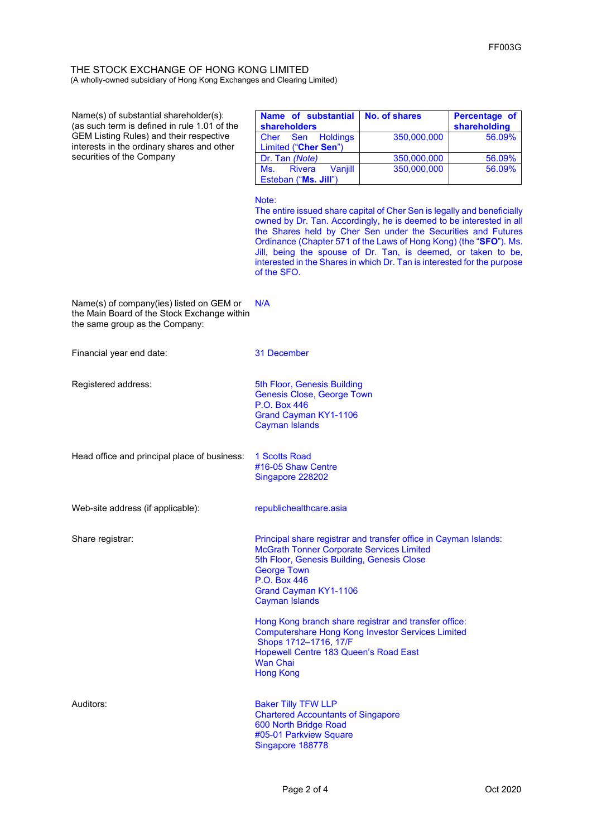| Name(s) of substantial shareholder(s):<br>(as such term is defined in rule 1.01 of the<br><b>GEM Listing Rules) and their respective</b><br>interests in the ordinary shares and other<br>securities of the Company | Name of substantial<br><b>shareholders</b>                                                                                                                                                                                                                                                                                                                                                                                                              | <b>No. of shares</b>       | Percentage of<br>shareholding |
|---------------------------------------------------------------------------------------------------------------------------------------------------------------------------------------------------------------------|---------------------------------------------------------------------------------------------------------------------------------------------------------------------------------------------------------------------------------------------------------------------------------------------------------------------------------------------------------------------------------------------------------------------------------------------------------|----------------------------|-------------------------------|
|                                                                                                                                                                                                                     | <b>Holdings</b><br>Sen<br>Cher<br>Limited ("Cher Sen")                                                                                                                                                                                                                                                                                                                                                                                                  | 350,000,000                | 56.09%                        |
|                                                                                                                                                                                                                     | Dr. Tan (Note)<br>Ms.<br><b>Rivera</b><br>Vanjill                                                                                                                                                                                                                                                                                                                                                                                                       | 350,000,000<br>350,000,000 | 56.09%<br>56.09%              |
|                                                                                                                                                                                                                     | Esteban ("Ms. Jill")                                                                                                                                                                                                                                                                                                                                                                                                                                    |                            |                               |
|                                                                                                                                                                                                                     | Note:<br>The entire issued share capital of Cher Sen is legally and beneficially<br>owned by Dr. Tan. Accordingly, he is deemed to be interested in all<br>the Shares held by Cher Sen under the Securities and Futures<br>Ordinance (Chapter 571 of the Laws of Hong Kong) (the "SFO"). Ms.<br>Jill, being the spouse of Dr. Tan, is deemed, or taken to be,<br>interested in the Shares in which Dr. Tan is interested for the purpose<br>of the SFO. |                            |                               |
| Name(s) of company(ies) listed on GEM or<br>the Main Board of the Stock Exchange within<br>the same group as the Company:                                                                                           | N/A                                                                                                                                                                                                                                                                                                                                                                                                                                                     |                            |                               |
| Financial year end date:                                                                                                                                                                                            | 31 December                                                                                                                                                                                                                                                                                                                                                                                                                                             |                            |                               |
| Registered address:                                                                                                                                                                                                 | 5th Floor, Genesis Building<br><b>Genesis Close, George Town</b><br>P.O. Box 446<br>Grand Cayman KY1-1106<br><b>Cayman Islands</b>                                                                                                                                                                                                                                                                                                                      |                            |                               |
| Head office and principal place of business:                                                                                                                                                                        | <b>1 Scotts Road</b><br>#16-05 Shaw Centre<br>Singapore 228202                                                                                                                                                                                                                                                                                                                                                                                          |                            |                               |
| Web-site address (if applicable):                                                                                                                                                                                   | republichealthcare.asia                                                                                                                                                                                                                                                                                                                                                                                                                                 |                            |                               |
| Share registrar:                                                                                                                                                                                                    | Principal share registrar and transfer office in Cayman Islands:<br><b>McGrath Tonner Corporate Services Limited</b>                                                                                                                                                                                                                                                                                                                                    |                            |                               |
|                                                                                                                                                                                                                     | 5th Floor, Genesis Building, Genesis Close<br><b>George Town</b>                                                                                                                                                                                                                                                                                                                                                                                        |                            |                               |
|                                                                                                                                                                                                                     | P.O. Box 446                                                                                                                                                                                                                                                                                                                                                                                                                                            |                            |                               |
|                                                                                                                                                                                                                     | Grand Cayman KY1-1106<br><b>Cayman Islands</b>                                                                                                                                                                                                                                                                                                                                                                                                          |                            |                               |
|                                                                                                                                                                                                                     | Hong Kong branch share registrar and transfer office:                                                                                                                                                                                                                                                                                                                                                                                                   |                            |                               |
|                                                                                                                                                                                                                     | <b>Computershare Hong Kong Investor Services Limited</b><br>Shops 1712-1716, 17/F                                                                                                                                                                                                                                                                                                                                                                       |                            |                               |
|                                                                                                                                                                                                                     | Hopewell Centre 183 Queen's Road East<br>Wan Chai                                                                                                                                                                                                                                                                                                                                                                                                       |                            |                               |
|                                                                                                                                                                                                                     | <b>Hong Kong</b>                                                                                                                                                                                                                                                                                                                                                                                                                                        |                            |                               |
| Auditors:                                                                                                                                                                                                           | <b>Baker Tilly TFW LLP</b><br><b>Chartered Accountants of Singapore</b><br>600 North Bridge Road<br>#05-01 Parkview Square<br>Singapore 188778                                                                                                                                                                                                                                                                                                          |                            |                               |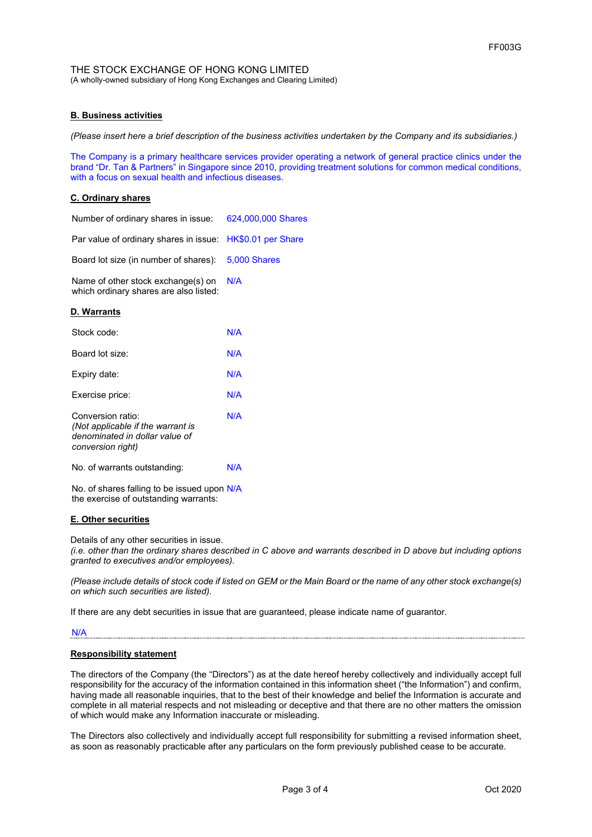## **B. Business activities**

*(Please insert here a brief description of the business activities undertaken by the Company and its subsidiaries.)*

The Company is a primary healthcare services provider operating a network of general practice clinics under the brand "Dr. Tan & Partners" in Singapore since 2010, providing treatment solutions for common medical conditions, with a focus on sexual health and infectious diseases.

## **C. Ordinary shares**

| Number of ordinary shares in issue:                                                                           | 624,000,000 Shares |
|---------------------------------------------------------------------------------------------------------------|--------------------|
| Par value of ordinary shares in issue:                                                                        | HK\$0.01 per Share |
| Board lot size (in number of shares):                                                                         | 5,000 Shares       |
| Name of other stock exchange(s) on<br>which ordinary shares are also listed:                                  | N/A                |
| <u>D. Warrants</u>                                                                                            |                    |
| Stock code:                                                                                                   | N/A                |
| Board lot size:                                                                                               | N/A                |
| Expiry date:                                                                                                  | N/A                |
| Exercise price:                                                                                               | N/A                |
| Conversion ratio:<br>(Not applicable if the warrant is<br>denominated in dollar value of<br>conversion right) | N/A                |
| No. of warrants outstanding:                                                                                  | N/A                |
| No. of shares falling to be issued upon N/A<br>the exercise of outstanding warrants:                          |                    |

### **E. Other securities**

Details of any other securities in issue.

*(i.e. other than the ordinary shares described in C above and warrants described in D above but including options granted to executives and/or employees).*

*(Please include details of stock code if listed on GEM or the Main Board or the name of any other stock exchange(s) on which such securities are listed).*

If there are any debt securities in issue that are guaranteed, please indicate name of guarantor.

#### N/A

#### **Responsibility statement**

The directors of the Company (the "Directors") as at the date hereof hereby collectively and individually accept full responsibility for the accuracy of the information contained in this information sheet ("the Information") and confirm, having made all reasonable inquiries, that to the best of their knowledge and belief the Information is accurate and complete in all material respects and not misleading or deceptive and that there are no other matters the omission of which would make any Information inaccurate or misleading.

The Directors also collectively and individually accept full responsibility for submitting a revised information sheet, as soon as reasonably practicable after any particulars on the form previously published cease to be accurate.